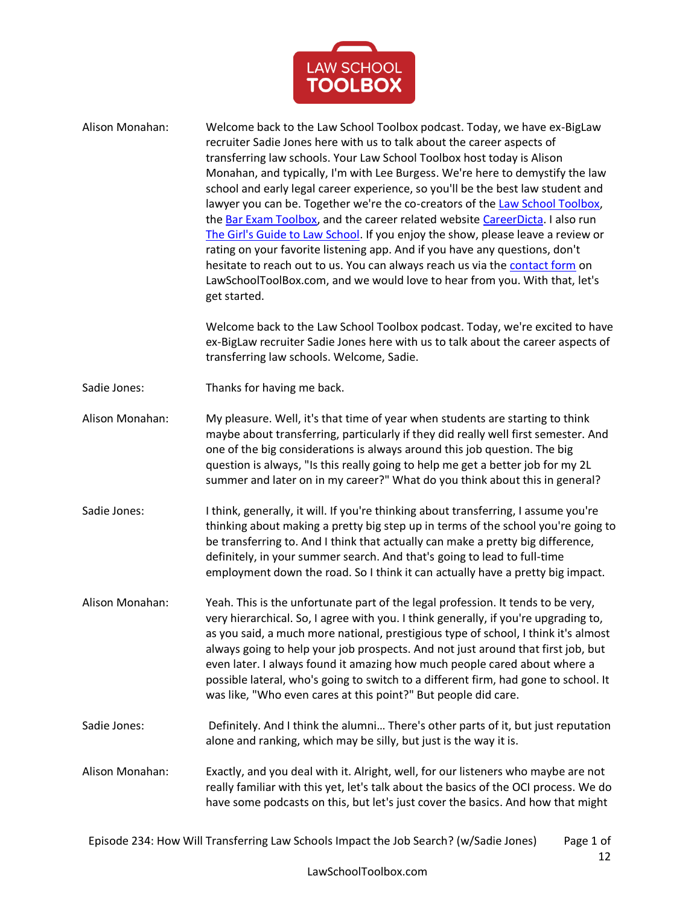

| Alison Monahan: | Welcome back to the Law School Toolbox podcast. Today, we have ex-BigLaw<br>recruiter Sadie Jones here with us to talk about the career aspects of<br>transferring law schools. Your Law School Toolbox host today is Alison<br>Monahan, and typically, I'm with Lee Burgess. We're here to demystify the law<br>school and early legal career experience, so you'll be the best law student and<br>lawyer you can be. Together we're the co-creators of the Law School Toolbox,<br>the Bar Exam Toolbox, and the career related website CareerDicta. I also run<br>The Girl's Guide to Law School. If you enjoy the show, please leave a review or<br>rating on your favorite listening app. And if you have any questions, don't<br>hesitate to reach out to us. You can always reach us via the contact form on<br>LawSchoolToolBox.com, and we would love to hear from you. With that, let's<br>get started.<br>Welcome back to the Law School Toolbox podcast. Today, we're excited to have<br>ex-BigLaw recruiter Sadie Jones here with us to talk about the career aspects of<br>transferring law schools. Welcome, Sadie. |
|-----------------|-----------------------------------------------------------------------------------------------------------------------------------------------------------------------------------------------------------------------------------------------------------------------------------------------------------------------------------------------------------------------------------------------------------------------------------------------------------------------------------------------------------------------------------------------------------------------------------------------------------------------------------------------------------------------------------------------------------------------------------------------------------------------------------------------------------------------------------------------------------------------------------------------------------------------------------------------------------------------------------------------------------------------------------------------------------------------------------------------------------------------------------|
| Sadie Jones:    | Thanks for having me back.                                                                                                                                                                                                                                                                                                                                                                                                                                                                                                                                                                                                                                                                                                                                                                                                                                                                                                                                                                                                                                                                                                        |
| Alison Monahan: | My pleasure. Well, it's that time of year when students are starting to think<br>maybe about transferring, particularly if they did really well first semester. And<br>one of the big considerations is always around this job question. The big<br>question is always, "Is this really going to help me get a better job for my 2L<br>summer and later on in my career?" What do you think about this in general?                                                                                                                                                                                                                                                                                                                                                                                                                                                                                                                                                                                                                                                                                                                |
| Sadie Jones:    | I think, generally, it will. If you're thinking about transferring, I assume you're<br>thinking about making a pretty big step up in terms of the school you're going to<br>be transferring to. And I think that actually can make a pretty big difference,<br>definitely, in your summer search. And that's going to lead to full-time<br>employment down the road. So I think it can actually have a pretty big impact.                                                                                                                                                                                                                                                                                                                                                                                                                                                                                                                                                                                                                                                                                                         |
| Alison Monahan: | Yeah. This is the unfortunate part of the legal profession. It tends to be very,<br>very hierarchical. So, I agree with you. I think generally, if you're upgrading to,<br>as you said, a much more national, prestigious type of school, I think it's almost<br>always going to help your job prospects. And not just around that first job, but<br>even later. I always found it amazing how much people cared about where a<br>possible lateral, who's going to switch to a different firm, had gone to school. It<br>was like, "Who even cares at this point?" But people did care.                                                                                                                                                                                                                                                                                                                                                                                                                                                                                                                                           |
| Sadie Jones:    | Definitely. And I think the alumni There's other parts of it, but just reputation<br>alone and ranking, which may be silly, but just is the way it is.                                                                                                                                                                                                                                                                                                                                                                                                                                                                                                                                                                                                                                                                                                                                                                                                                                                                                                                                                                            |
| Alison Monahan: | Exactly, and you deal with it. Alright, well, for our listeners who maybe are not<br>really familiar with this yet, let's talk about the basics of the OCI process. We do<br>have some podcasts on this, but let's just cover the basics. And how that might                                                                                                                                                                                                                                                                                                                                                                                                                                                                                                                                                                                                                                                                                                                                                                                                                                                                      |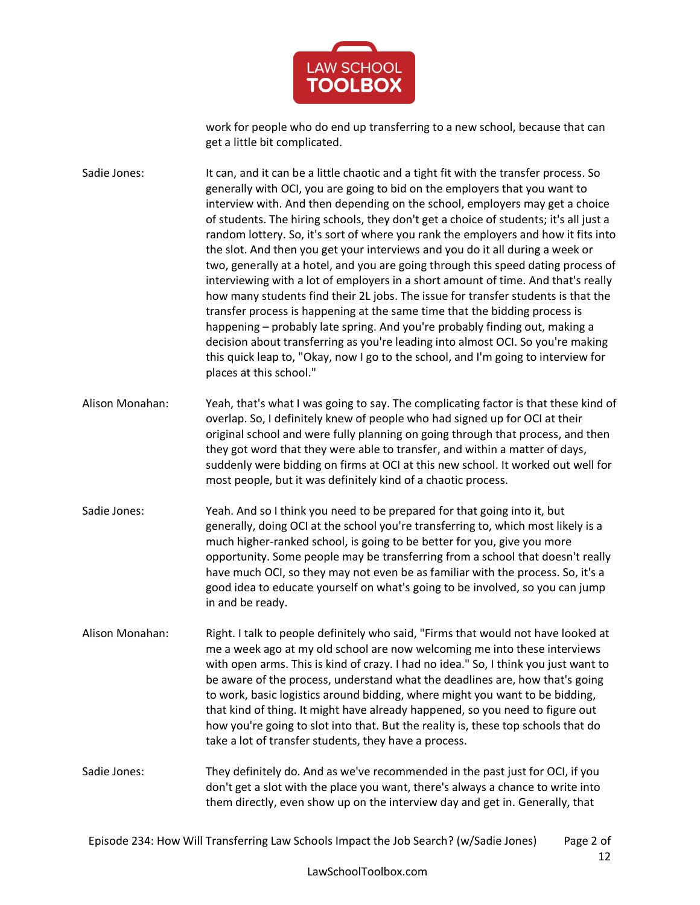

work for people who do end up transferring to a new school, because that can get a little bit complicated.

Sadie Jones: It can, and it can be a little chaotic and a tight fit with the transfer process. So generally with OCI, you are going to bid on the employers that you want to interview with. And then depending on the school, employers may get a choice of students. The hiring schools, they don't get a choice of students; it's all just a random lottery. So, it's sort of where you rank the employers and how it fits into the slot. And then you get your interviews and you do it all during a week or two, generally at a hotel, and you are going through this speed dating process of interviewing with a lot of employers in a short amount of time. And that's really how many students find their 2L jobs. The issue for transfer students is that the transfer process is happening at the same time that the bidding process is happening – probably late spring. And you're probably finding out, making a decision about transferring as you're leading into almost OCI. So you're making this quick leap to, "Okay, now I go to the school, and I'm going to interview for places at this school."

- Alison Monahan: Yeah, that's what I was going to say. The complicating factor is that these kind of overlap. So, I definitely knew of people who had signed up for OCI at their original school and were fully planning on going through that process, and then they got word that they were able to transfer, and within a matter of days, suddenly were bidding on firms at OCI at this new school. It worked out well for most people, but it was definitely kind of a chaotic process.
- Sadie Jones: Yeah. And so I think you need to be prepared for that going into it, but generally, doing OCI at the school you're transferring to, which most likely is a much higher-ranked school, is going to be better for you, give you more opportunity. Some people may be transferring from a school that doesn't really have much OCI, so they may not even be as familiar with the process. So, it's a good idea to educate yourself on what's going to be involved, so you can jump in and be ready.
- Alison Monahan: Right. I talk to people definitely who said, "Firms that would not have looked at me a week ago at my old school are now welcoming me into these interviews with open arms. This is kind of crazy. I had no idea." So, I think you just want to be aware of the process, understand what the deadlines are, how that's going to work, basic logistics around bidding, where might you want to be bidding, that kind of thing. It might have already happened, so you need to figure out how you're going to slot into that. But the reality is, these top schools that do take a lot of transfer students, they have a process.

Sadie Jones: They definitely do. And as we've recommended in the past just for OCI, if you don't get a slot with the place you want, there's always a chance to write into them directly, even show up on the interview day and get in. Generally, that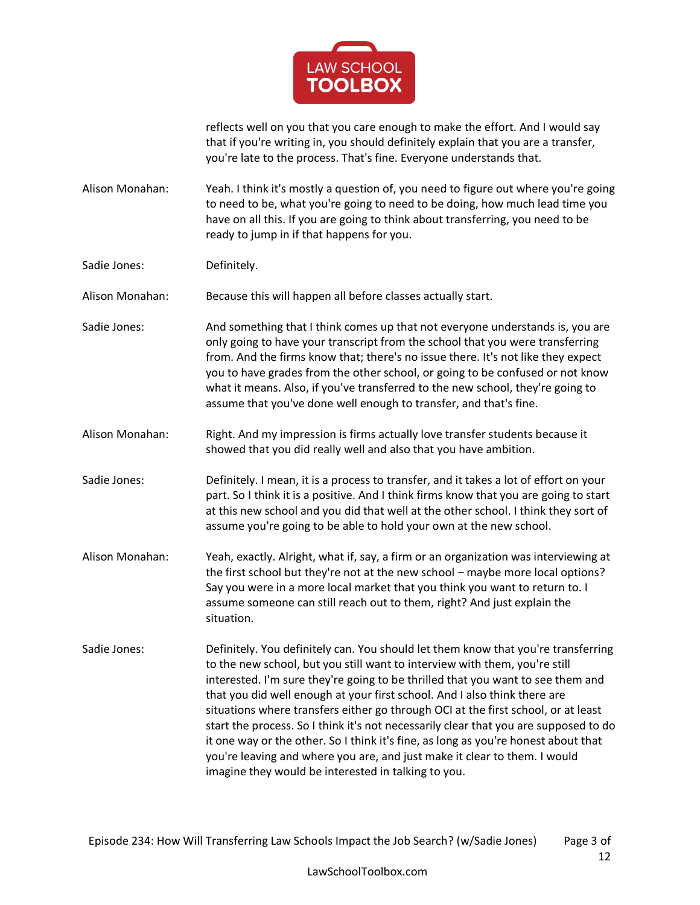

reflects well on you that you care enough to make the effort. And I would say that if you're writing in, you should definitely explain that you are a transfer, you're late to the process. That's fine. Everyone understands that.

Alison Monahan: Yeah. I think it's mostly a question of, you need to figure out where you're going to need to be, what you're going to need to be doing, how much lead time you have on all this. If you are going to think about transferring, you need to be ready to jump in if that happens for you.

Sadie Jones: Definitely.

Alison Monahan: Because this will happen all before classes actually start.

Sadie Jones: And something that I think comes up that not everyone understands is, you are only going to have your transcript from the school that you were transferring from. And the firms know that; there's no issue there. It's not like they expect you to have grades from the other school, or going to be confused or not know what it means. Also, if you've transferred to the new school, they're going to assume that you've done well enough to transfer, and that's fine.

Alison Monahan: Right. And my impression is firms actually love transfer students because it showed that you did really well and also that you have ambition.

Sadie Jones: Definitely. I mean, it is a process to transfer, and it takes a lot of effort on your part. So I think it is a positive. And I think firms know that you are going to start at this new school and you did that well at the other school. I think they sort of assume you're going to be able to hold your own at the new school.

- Alison Monahan: Yeah, exactly. Alright, what if, say, a firm or an organization was interviewing at the first school but they're not at the new school – maybe more local options? Say you were in a more local market that you think you want to return to. I assume someone can still reach out to them, right? And just explain the situation.
- Sadie Jones: Definitely. You definitely can. You should let them know that you're transferring to the new school, but you still want to interview with them, you're still interested. I'm sure they're going to be thrilled that you want to see them and that you did well enough at your first school. And I also think there are situations where transfers either go through OCI at the first school, or at least start the process. So I think it's not necessarily clear that you are supposed to do it one way or the other. So I think it's fine, as long as you're honest about that you're leaving and where you are, and just make it clear to them. I would imagine they would be interested in talking to you.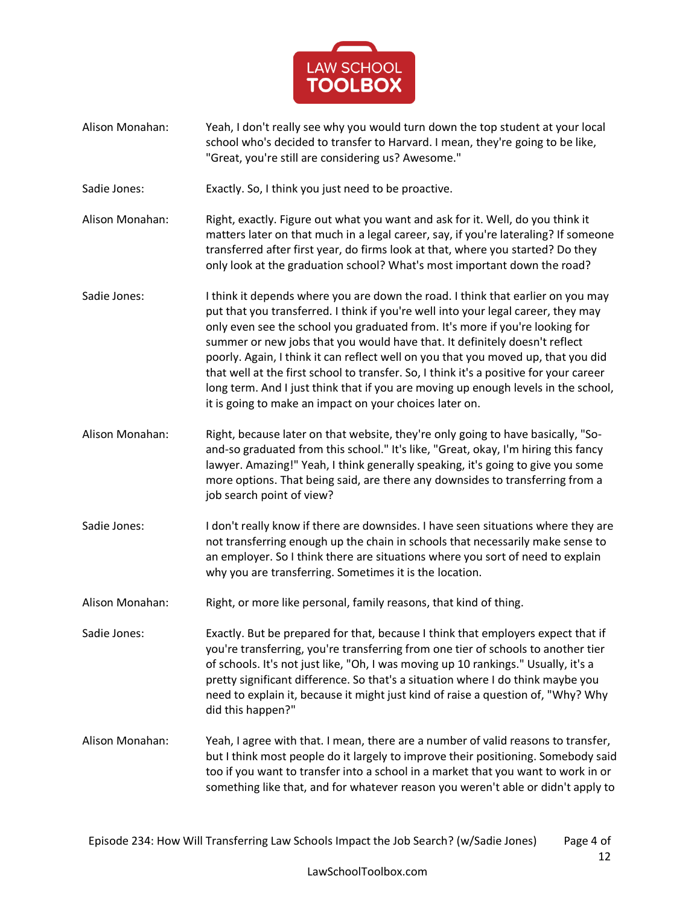

- Alison Monahan: Yeah, I don't really see why you would turn down the top student at your local school who's decided to transfer to Harvard. I mean, they're going to be like, "Great, you're still are considering us? Awesome."
- Sadie Jones: Exactly. So, I think you just need to be proactive.
- Alison Monahan: Right, exactly. Figure out what you want and ask for it. Well, do you think it matters later on that much in a legal career, say, if you're lateraling? If someone transferred after first year, do firms look at that, where you started? Do they only look at the graduation school? What's most important down the road?
- Sadie Jones: I think it depends where you are down the road. I think that earlier on you may put that you transferred. I think if you're well into your legal career, they may only even see the school you graduated from. It's more if you're looking for summer or new jobs that you would have that. It definitely doesn't reflect poorly. Again, I think it can reflect well on you that you moved up, that you did that well at the first school to transfer. So, I think it's a positive for your career long term. And I just think that if you are moving up enough levels in the school, it is going to make an impact on your choices later on.
- Alison Monahan: Right, because later on that website, they're only going to have basically, "Soand-so graduated from this school." It's like, "Great, okay, I'm hiring this fancy lawyer. Amazing!" Yeah, I think generally speaking, it's going to give you some more options. That being said, are there any downsides to transferring from a job search point of view?
- Sadie Jones: I don't really know if there are downsides. I have seen situations where they are not transferring enough up the chain in schools that necessarily make sense to an employer. So I think there are situations where you sort of need to explain why you are transferring. Sometimes it is the location.
- Alison Monahan: Right, or more like personal, family reasons, that kind of thing.
- Sadie Jones: Exactly. But be prepared for that, because I think that employers expect that if you're transferring, you're transferring from one tier of schools to another tier of schools. It's not just like, "Oh, I was moving up 10 rankings." Usually, it's a pretty significant difference. So that's a situation where I do think maybe you need to explain it, because it might just kind of raise a question of, "Why? Why did this happen?"
- Alison Monahan: Yeah, I agree with that. I mean, there are a number of valid reasons to transfer, but I think most people do it largely to improve their positioning. Somebody said too if you want to transfer into a school in a market that you want to work in or something like that, and for whatever reason you weren't able or didn't apply to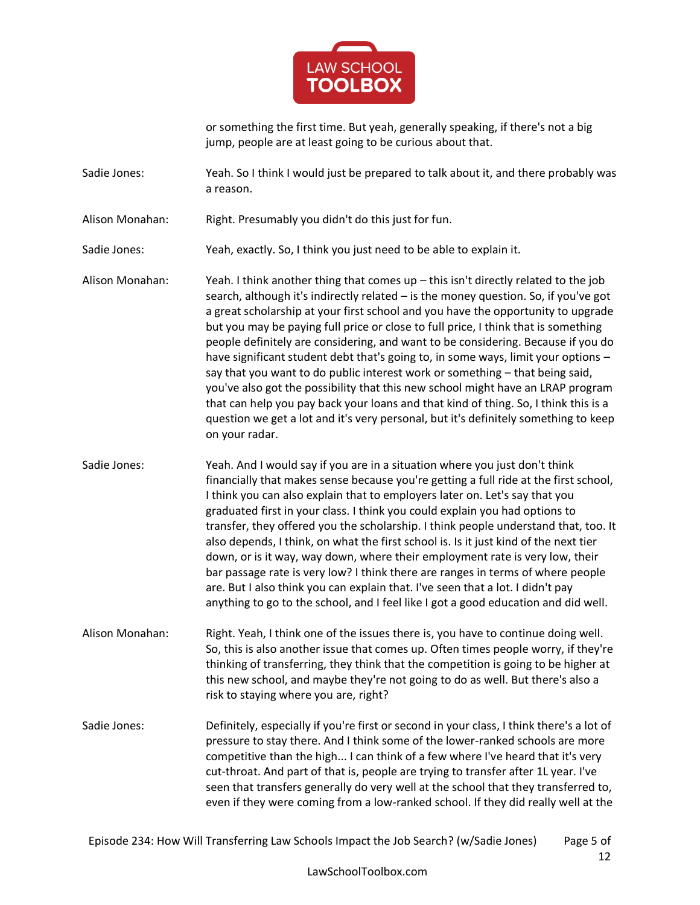

or something the first time. But yeah, generally speaking, if there's not a big jump, people are at least going to be curious about that.

Sadie Jones: Yeah. So I think I would just be prepared to talk about it, and there probably was a reason.

Alison Monahan: Right. Presumably you didn't do this just for fun.

Sadie Jones: Yeah, exactly. So, I think you just need to be able to explain it.

Alison Monahan: Yeah. I think another thing that comes up – this isn't directly related to the job search, although it's indirectly related – is the money question. So, if you've got a great scholarship at your first school and you have the opportunity to upgrade but you may be paying full price or close to full price, I think that is something people definitely are considering, and want to be considering. Because if you do have significant student debt that's going to, in some ways, limit your options say that you want to do public interest work or something – that being said, you've also got the possibility that this new school might have an LRAP program that can help you pay back your loans and that kind of thing. So, I think this is a question we get a lot and it's very personal, but it's definitely something to keep on your radar.

Sadie Jones: Yeah. And I would say if you are in a situation where you just don't think financially that makes sense because you're getting a full ride at the first school, I think you can also explain that to employers later on. Let's say that you graduated first in your class. I think you could explain you had options to transfer, they offered you the scholarship. I think people understand that, too. It also depends, I think, on what the first school is. Is it just kind of the next tier down, or is it way, way down, where their employment rate is very low, their bar passage rate is very low? I think there are ranges in terms of where people are. But I also think you can explain that. I've seen that a lot. I didn't pay anything to go to the school, and I feel like I got a good education and did well.

Alison Monahan: Right. Yeah, I think one of the issues there is, you have to continue doing well. So, this is also another issue that comes up. Often times people worry, if they're thinking of transferring, they think that the competition is going to be higher at this new school, and maybe they're not going to do as well. But there's also a risk to staying where you are, right?

Sadie Jones: Definitely, especially if you're first or second in your class, I think there's a lot of pressure to stay there. And I think some of the lower-ranked schools are more competitive than the high... I can think of a few where I've heard that it's very cut-throat. And part of that is, people are trying to transfer after 1L year. I've seen that transfers generally do very well at the school that they transferred to, even if they were coming from a low-ranked school. If they did really well at the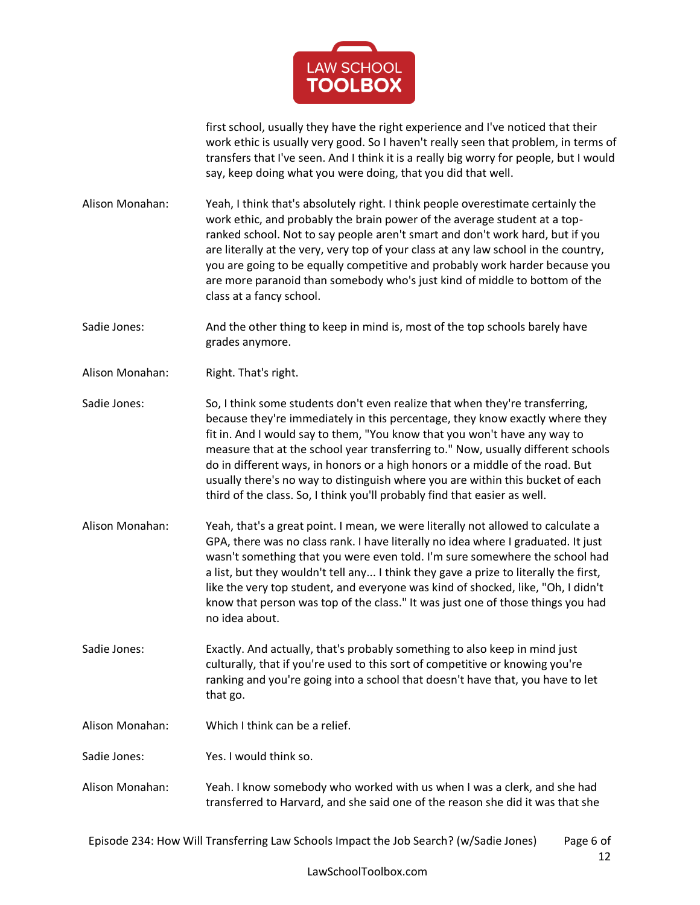

first school, usually they have the right experience and I've noticed that their work ethic is usually very good. So I haven't really seen that problem, in terms of transfers that I've seen. And I think it is a really big worry for people, but I would say, keep doing what you were doing, that you did that well.

Alison Monahan: Yeah, I think that's absolutely right. I think people overestimate certainly the work ethic, and probably the brain power of the average student at a topranked school. Not to say people aren't smart and don't work hard, but if you are literally at the very, very top of your class at any law school in the country, you are going to be equally competitive and probably work harder because you are more paranoid than somebody who's just kind of middle to bottom of the class at a fancy school.

Sadie Jones: And the other thing to keep in mind is, most of the top schools barely have grades anymore.

Alison Monahan: Right. That's right.

Sadie Jones: So, I think some students don't even realize that when they're transferring, because they're immediately in this percentage, they know exactly where they fit in. And I would say to them, "You know that you won't have any way to measure that at the school year transferring to." Now, usually different schools do in different ways, in honors or a high honors or a middle of the road. But usually there's no way to distinguish where you are within this bucket of each third of the class. So, I think you'll probably find that easier as well.

Alison Monahan: Yeah, that's a great point. I mean, we were literally not allowed to calculate a GPA, there was no class rank. I have literally no idea where I graduated. It just wasn't something that you were even told. I'm sure somewhere the school had a list, but they wouldn't tell any... I think they gave a prize to literally the first, like the very top student, and everyone was kind of shocked, like, "Oh, I didn't know that person was top of the class." It was just one of those things you had no idea about.

Sadie Jones: Exactly. And actually, that's probably something to also keep in mind just culturally, that if you're used to this sort of competitive or knowing you're ranking and you're going into a school that doesn't have that, you have to let that go.

- Alison Monahan: Which I think can be a relief.
- Sadie Jones: Yes. I would think so.
- Alison Monahan: Yeah. I know somebody who worked with us when I was a clerk, and she had transferred to Harvard, and she said one of the reason she did it was that she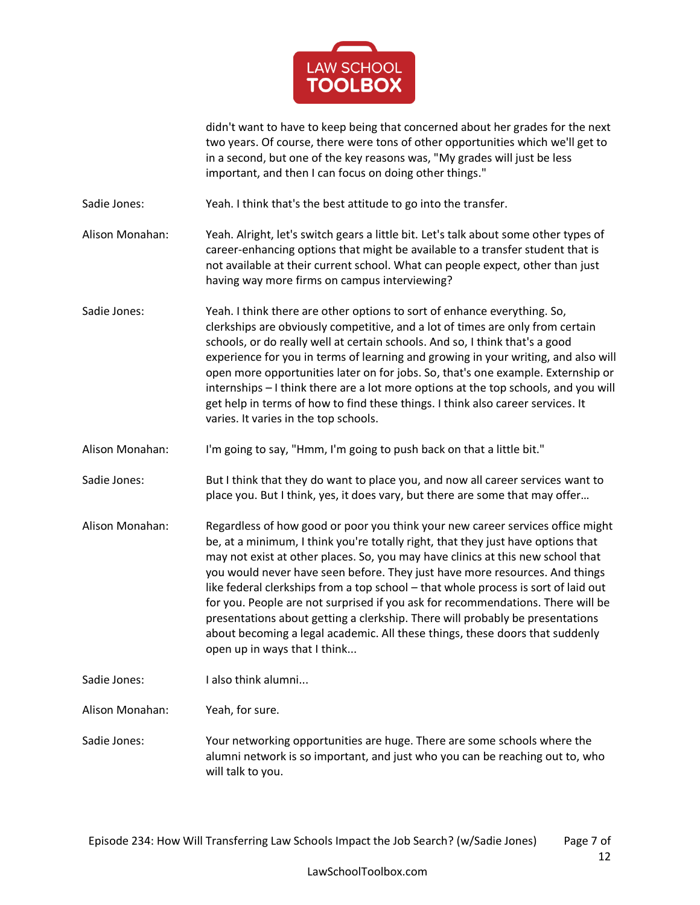

didn't want to have to keep being that concerned about her grades for the next two years. Of course, there were tons of other opportunities which we'll get to in a second, but one of the key reasons was, "My grades will just be less important, and then I can focus on doing other things."

Sadie Jones: Yeah. I think that's the best attitude to go into the transfer.

Alison Monahan: Yeah. Alright, let's switch gears a little bit. Let's talk about some other types of career-enhancing options that might be available to a transfer student that is not available at their current school. What can people expect, other than just having way more firms on campus interviewing?

Sadie Jones: Yeah. I think there are other options to sort of enhance everything. So, clerkships are obviously competitive, and a lot of times are only from certain schools, or do really well at certain schools. And so, I think that's a good experience for you in terms of learning and growing in your writing, and also will open more opportunities later on for jobs. So, that's one example. Externship or internships – I think there are a lot more options at the top schools, and you will get help in terms of how to find these things. I think also career services. It varies. It varies in the top schools.

Alison Monahan: I'm going to say, "Hmm, I'm going to push back on that a little bit."

Sadie Jones: But I think that they do want to place you, and now all career services want to place you. But I think, yes, it does vary, but there are some that may offer…

Alison Monahan: Regardless of how good or poor you think your new career services office might be, at a minimum, I think you're totally right, that they just have options that may not exist at other places. So, you may have clinics at this new school that you would never have seen before. They just have more resources. And things like federal clerkships from a top school – that whole process is sort of laid out for you. People are not surprised if you ask for recommendations. There will be presentations about getting a clerkship. There will probably be presentations about becoming a legal academic. All these things, these doors that suddenly open up in ways that I think...

Sadie Jones: I also think alumni...

Alison Monahan: Yeah, for sure.

Sadie Jones: Your networking opportunities are huge. There are some schools where the alumni network is so important, and just who you can be reaching out to, who will talk to you.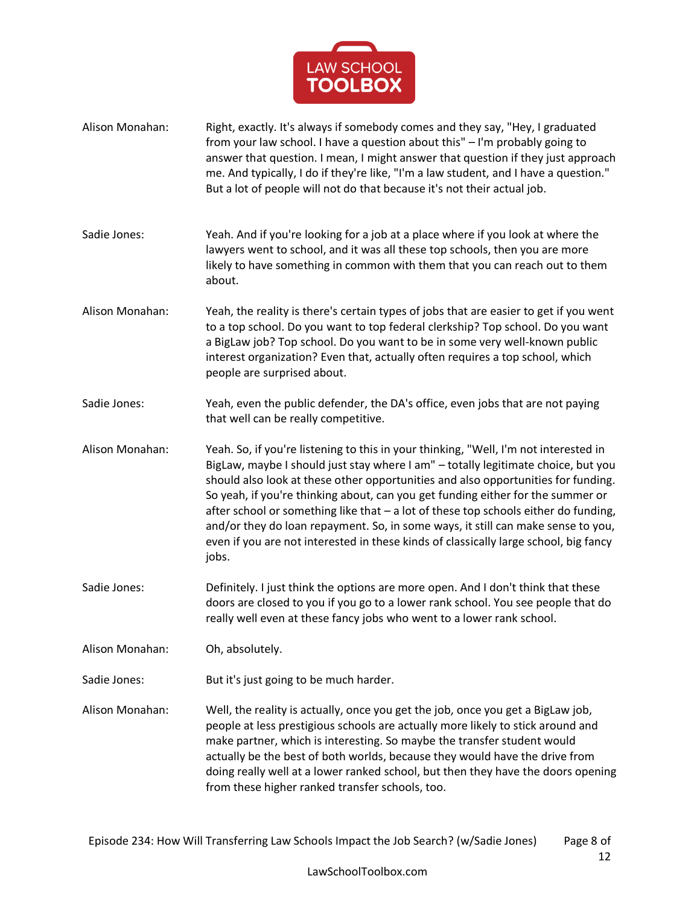

Alison Monahan: Right, exactly. It's always if somebody comes and they say, "Hey, I graduated from your law school. I have a question about this" – I'm probably going to answer that question. I mean, I might answer that question if they just approach me. And typically, I do if they're like, "I'm a law student, and I have a question." But a lot of people will not do that because it's not their actual job. Sadie Jones: Yeah. And if you're looking for a job at a place where if you look at where the lawyers went to school, and it was all these top schools, then you are more likely to have something in common with them that you can reach out to them about. Alison Monahan: Yeah, the reality is there's certain types of jobs that are easier to get if you went to a top school. Do you want to top federal clerkship? Top school. Do you want a BigLaw job? Top school. Do you want to be in some very well-known public interest organization? Even that, actually often requires a top school, which people are surprised about. Sadie Jones: Yeah, even the public defender, the DA's office, even jobs that are not paying that well can be really competitive. Alison Monahan: Yeah. So, if you're listening to this in your thinking, "Well, I'm not interested in BigLaw, maybe I should just stay where I am" – totally legitimate choice, but you should also look at these other opportunities and also opportunities for funding. So yeah, if you're thinking about, can you get funding either for the summer or after school or something like that  $-$  a lot of these top schools either do funding, and/or they do loan repayment. So, in some ways, it still can make sense to you, even if you are not interested in these kinds of classically large school, big fancy jobs. Sadie Jones: Definitely. I just think the options are more open. And I don't think that these doors are closed to you if you go to a lower rank school. You see people that do really well even at these fancy jobs who went to a lower rank school. Alison Monahan: Oh, absolutely. Sadie Jones: But it's just going to be much harder. Alison Monahan: Well, the reality is actually, once you get the job, once you get a BigLaw job, people at less prestigious schools are actually more likely to stick around and make partner, which is interesting. So maybe the transfer student would actually be the best of both worlds, because they would have the drive from doing really well at a lower ranked school, but then they have the doors opening from these higher ranked transfer schools, too.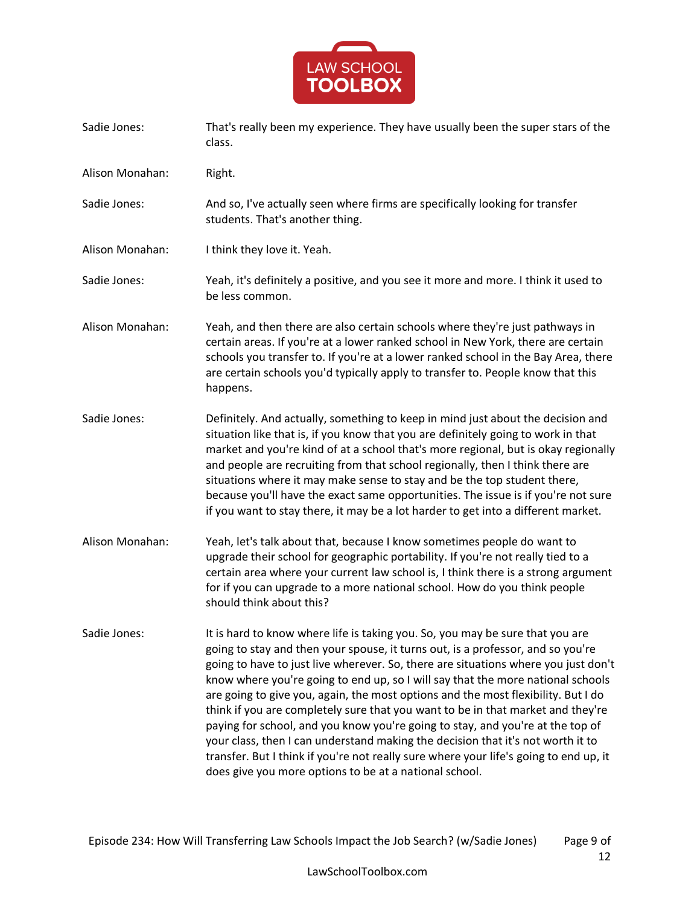

- Sadie Jones: That's really been my experience. They have usually been the super stars of the class.
- Alison Monahan: Right.
- Sadie Jones: And so, I've actually seen where firms are specifically looking for transfer students. That's another thing.
- Alison Monahan: I think they love it. Yeah.
- Sadie Jones: Yeah, it's definitely a positive, and you see it more and more. I think it used to be less common.
- Alison Monahan: Yeah, and then there are also certain schools where they're just pathways in certain areas. If you're at a lower ranked school in New York, there are certain schools you transfer to. If you're at a lower ranked school in the Bay Area, there are certain schools you'd typically apply to transfer to. People know that this happens.
- Sadie Jones: Definitely. And actually, something to keep in mind just about the decision and situation like that is, if you know that you are definitely going to work in that market and you're kind of at a school that's more regional, but is okay regionally and people are recruiting from that school regionally, then I think there are situations where it may make sense to stay and be the top student there, because you'll have the exact same opportunities. The issue is if you're not sure if you want to stay there, it may be a lot harder to get into a different market.
- Alison Monahan: Yeah, let's talk about that, because I know sometimes people do want to upgrade their school for geographic portability. If you're not really tied to a certain area where your current law school is, I think there is a strong argument for if you can upgrade to a more national school. How do you think people should think about this?
- Sadie Jones: It is hard to know where life is taking you. So, you may be sure that you are going to stay and then your spouse, it turns out, is a professor, and so you're going to have to just live wherever. So, there are situations where you just don't know where you're going to end up, so I will say that the more national schools are going to give you, again, the most options and the most flexibility. But I do think if you are completely sure that you want to be in that market and they're paying for school, and you know you're going to stay, and you're at the top of your class, then I can understand making the decision that it's not worth it to transfer. But I think if you're not really sure where your life's going to end up, it does give you more options to be at a national school.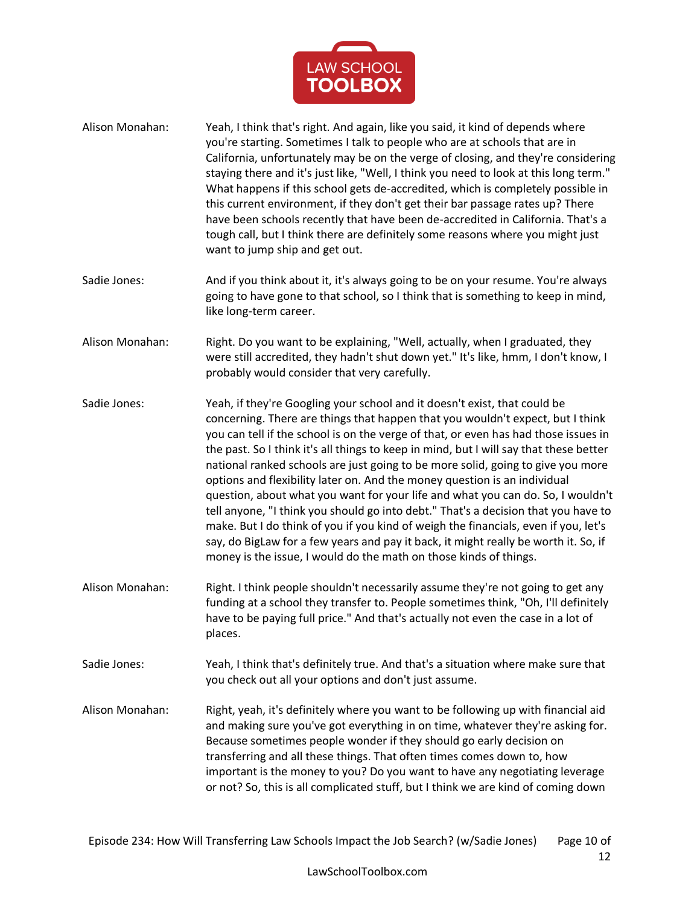

- Alison Monahan: Yeah, I think that's right. And again, like you said, it kind of depends where you're starting. Sometimes I talk to people who are at schools that are in California, unfortunately may be on the verge of closing, and they're considering staying there and it's just like, "Well, I think you need to look at this long term." What happens if this school gets de-accredited, which is completely possible in this current environment, if they don't get their bar passage rates up? There have been schools recently that have been de-accredited in California. That's a tough call, but I think there are definitely some reasons where you might just want to jump ship and get out.
- Sadie Jones: And if you think about it, it's always going to be on your resume. You're always going to have gone to that school, so I think that is something to keep in mind, like long-term career.
- Alison Monahan: Right. Do you want to be explaining, "Well, actually, when I graduated, they were still accredited, they hadn't shut down yet." It's like, hmm, I don't know, I probably would consider that very carefully.
- Sadie Jones: Yeah, if they're Googling your school and it doesn't exist, that could be concerning. There are things that happen that you wouldn't expect, but I think you can tell if the school is on the verge of that, or even has had those issues in the past. So I think it's all things to keep in mind, but I will say that these better national ranked schools are just going to be more solid, going to give you more options and flexibility later on. And the money question is an individual question, about what you want for your life and what you can do. So, I wouldn't tell anyone, "I think you should go into debt." That's a decision that you have to make. But I do think of you if you kind of weigh the financials, even if you, let's say, do BigLaw for a few years and pay it back, it might really be worth it. So, if money is the issue, I would do the math on those kinds of things.
- Alison Monahan: Right. I think people shouldn't necessarily assume they're not going to get any funding at a school they transfer to. People sometimes think, "Oh, I'll definitely have to be paying full price." And that's actually not even the case in a lot of places.
- Sadie Jones: Yeah, I think that's definitely true. And that's a situation where make sure that you check out all your options and don't just assume.
- Alison Monahan: Right, yeah, it's definitely where you want to be following up with financial aid and making sure you've got everything in on time, whatever they're asking for. Because sometimes people wonder if they should go early decision on transferring and all these things. That often times comes down to, how important is the money to you? Do you want to have any negotiating leverage or not? So, this is all complicated stuff, but I think we are kind of coming down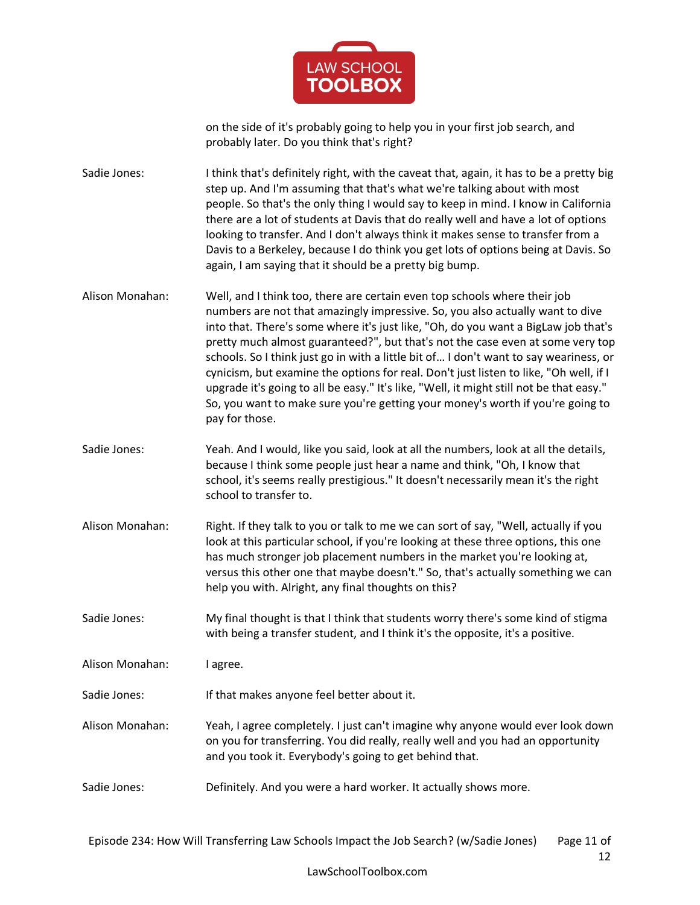

on the side of it's probably going to help you in your first job search, and probably later. Do you think that's right?

Sadie Jones: I think that's definitely right, with the caveat that, again, it has to be a pretty big step up. And I'm assuming that that's what we're talking about with most people. So that's the only thing I would say to keep in mind. I know in California there are a lot of students at Davis that do really well and have a lot of options looking to transfer. And I don't always think it makes sense to transfer from a Davis to a Berkeley, because I do think you get lots of options being at Davis. So again, I am saying that it should be a pretty big bump.

- Alison Monahan: Well, and I think too, there are certain even top schools where their job numbers are not that amazingly impressive. So, you also actually want to dive into that. There's some where it's just like, "Oh, do you want a BigLaw job that's pretty much almost guaranteed?", but that's not the case even at some very top schools. So I think just go in with a little bit of… I don't want to say weariness, or cynicism, but examine the options for real. Don't just listen to like, "Oh well, if I upgrade it's going to all be easy." It's like, "Well, it might still not be that easy." So, you want to make sure you're getting your money's worth if you're going to pay for those.
- Sadie Jones: Yeah. And I would, like you said, look at all the numbers, look at all the details, because I think some people just hear a name and think, "Oh, I know that school, it's seems really prestigious." It doesn't necessarily mean it's the right school to transfer to.
- Alison Monahan: Right. If they talk to you or talk to me we can sort of say, "Well, actually if you look at this particular school, if you're looking at these three options, this one has much stronger job placement numbers in the market you're looking at, versus this other one that maybe doesn't." So, that's actually something we can help you with. Alright, any final thoughts on this?

Sadie Jones: My final thought is that I think that students worry there's some kind of stigma with being a transfer student, and I think it's the opposite, it's a positive.

Alison Monahan: I agree.

Sadie Jones: If that makes anyone feel better about it.

- Alison Monahan: Yeah, I agree completely. I just can't imagine why anyone would ever look down on you for transferring. You did really, really well and you had an opportunity and you took it. Everybody's going to get behind that.
- Sadie Jones: Definitely. And you were a hard worker. It actually shows more.